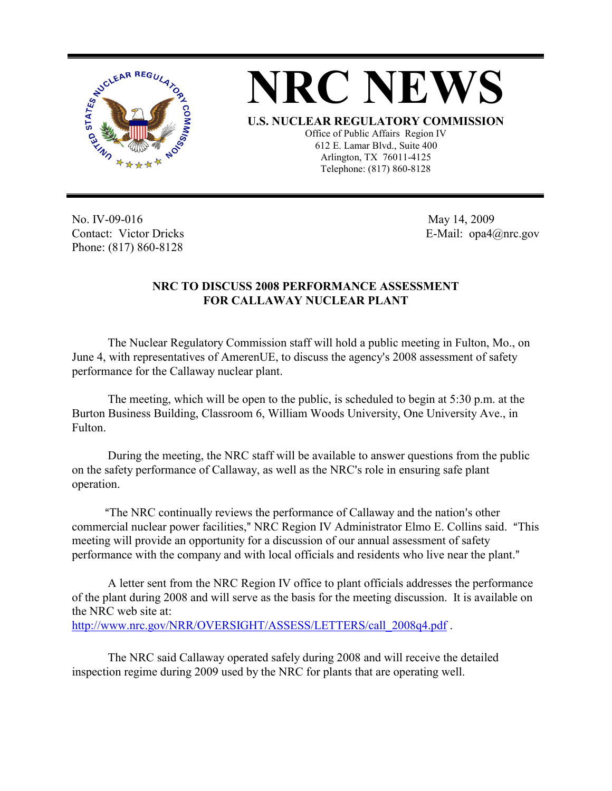



Office of Public Affairs Region IV 612 E. Lamar Blvd., Suite 400 Arlington, TX 76011-4125 Telephone: (817) 860-8128

No. IV-09-016 Contact: Victor Dricks Phone: (817) 860-8128

 May 14, 2009 E-Mail: opa4@nrc.gov

## **NRC TO DISCUSS 2008 PERFORMANCE ASSESSMENT FOR CALLAWAY NUCLEAR PLANT**

The Nuclear Regulatory Commission staff will hold a public meeting in Fulton, Mo., on June 4, with representatives of AmerenUE, to discuss the agency's 2008 assessment of safety performance for the Callaway nuclear plant.

The meeting, which will be open to the public, is scheduled to begin at 5:30 p.m. at the Burton Business Building, Classroom 6, William Woods University, One University Ave., in Fulton.

During the meeting, the NRC staff will be available to answer questions from the public on the safety performance of Callaway, as well as the NRC's role in ensuring safe plant operation.

<sup>"</sup>The NRC continually reviews the performance of Callaway and the nation's other commercial nuclear power facilities," NRC Region IV Administrator Elmo E. Collins said. "This meeting will provide an opportunity for a discussion of our annual assessment of safety performance with the company and with local officials and residents who live near the plant."

A letter sent from the NRC Region IV office to plant officials addresses the performance of the plant during 2008 and will serve as the basis for the meeting discussion. It is available on the NRC web site at: http://www.nrc.gov/NRR/OVERSIGHT/ASSESS/LETTERS/call\_2008q4.pdf .

The NRC said Callaway operated safely during 2008 and will receive the detailed inspection regime during 2009 used by the NRC for plants that are operating well.